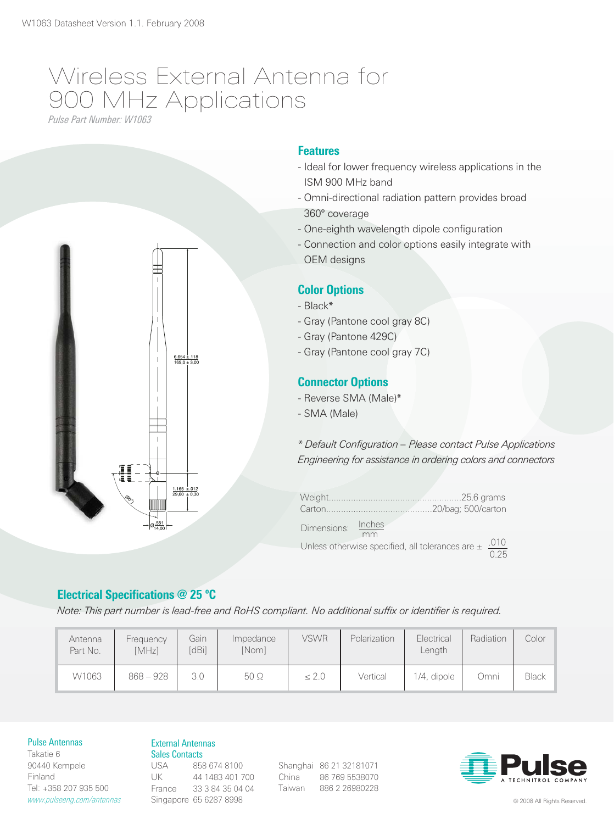# Wireless External Antenna for 900 MHz Applications

*Pulse Part Number: W1063*



# **Features**

- Ideal for lower frequency wireless applications in the ISM 900 MHz band
- Omni-directional radiation pattern provides broad 360° coverage
- One-eighth wavelength dipole configuration
- Connection and color options easily integrate with OEM designs

## Color Options

- Black\*
- Gray (Pantone cool gray 8C)
- Gray (Pantone 429C)
- Gray (Pantone cool gray 7C)

# Connector Options

- Reverse SMA (Male)\*
- SMA (Male)

*\* Default Configuration – Please contact Pulse Applications Engineering for assistance in ordering colors and connectors*

| Dimensions: Inches |                                                                 |                   |
|--------------------|-----------------------------------------------------------------|-------------------|
|                    | mm<br>Unless otherwise specified, all tolerances are $\pm$ .010 | $\overline{0.25}$ |

# Electrical Specifications @ 25 ºC

*Note: This part number is lead-free and RoHS compliant. No additional suffix or identifier is required.*

| Antenna<br>Part No. | Frequency<br>[MHz] | Gain<br>[dBi] | Impedance<br>[Nom] | <b>VSWR</b> | Polarization | Electrical<br>Length | Radiation | Color <sup>1</sup> |
|---------------------|--------------------|---------------|--------------------|-------------|--------------|----------------------|-----------|--------------------|
| W1063               | $868 - 928$        |               | $50\Omega$         | $\leq 2.0$  | Vertical     | 1/4, dipole          | Omni      | <b>Black</b>       |

### Pulse Antennas

Takatie 6 90440 Kempele Finland Tel: +358 207 935 500 *www.pulseeng.com/antennas*

### External Antennas Sales Contacts

USA 858 674 8100 UK 44 1483 401 700 France 33 3 84 35 04 04 Singapore 65 6287 8998

Shanghai 86 21 32181071 China 86 769 5538070 Taiwan 886 2 26980228